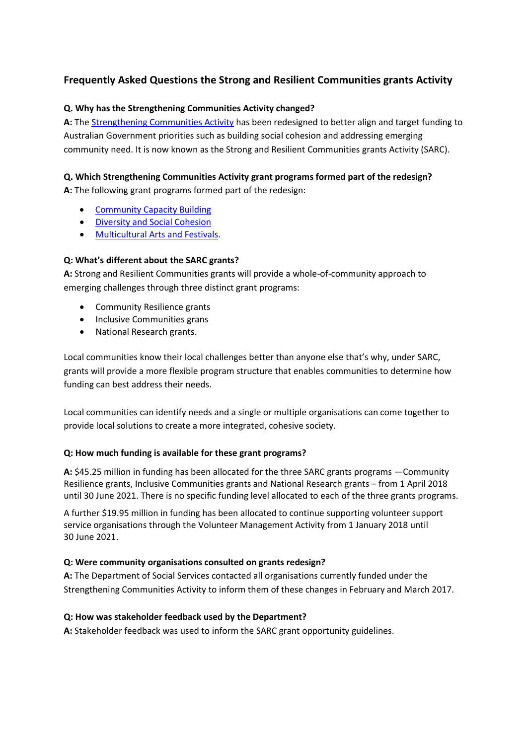# **Frequently Asked Questions the Strong and Resilient Communities grants Activity**

## **Q. Why has the Strengthening Communities Activity changed?**

**A:** The [Strengthening Communities Activity](https://www.dss.gov.au/communities-and-vulnerable-people/programs-services/strengthening-communities) has been redesigned to better align and target funding to Australian Government priorities such as building social cohesion and addressing emerging community need. It is now known as the Strong and Resilient Communities grants Activity (SARC).

## **Q. Which Strengthening Communities Activity grant programs formed part of the redesign?**

**A:** The following grant programs formed part of the redesign:

- [Community Capacity Building](https://www.dss.gov.au/communities-and-vulnerable-people/programmes-services/community-capacity-building)
- **•** [Diversity and Social Cohesion](https://www.dss.gov.au/settlement-and-multicultural-affairs/programs-policy/settlement-services/diversity-and-social-cohesion-program-dscp/diversity-and-social-cohesion)
- [Multicultural Arts and Festivals.](https://www.dss.gov.au/settlement-and-multicultural-affairs/programs-policy/settlement-services/diversity-and-social-cohesion-program-dscp/multicultural-arts-and-festivals)

## **Q: What's different about the SARC grants?**

**A:** Strong and Resilient Communities grants will provide a whole-of-community approach to emerging challenges through three distinct grant programs:

- Community Resilience grants
- Inclusive Communities grans
- National Research grants.

Local communities know their local challenges better than anyone else that's why, under SARC, grants will provide a more flexible program structure that enables communities to determine how funding can best address their needs.

Local communities can identify needs and a single or multiple organisations can come together to provide local solutions to create a more integrated, cohesive society.

## **Q: How much funding is available for these grant programs?**

**A:** \$45.25 million in funding has been allocated for the three SARC grants programs —Community Resilience grants, Inclusive Communities grants and National Research grants – from 1 April 2018 until 30 June 2021. There is no specific funding level allocated to each of the three grants programs.

A further \$19.95 million in funding has been allocated to continue supporting volunteer support service organisations through the Volunteer Management Activity from 1 January 2018 until 30 June 2021.

## **Q: Were community organisations consulted on grants redesign?**

**A:** The Department of Social Services contacted all organisations currently funded under the Strengthening Communities Activity to inform them of these changes in February and March 2017.

## **Q: How was stakeholder feedback used by the Department?**

**A:** Stakeholder feedback was used to inform the SARC grant opportunity guidelines.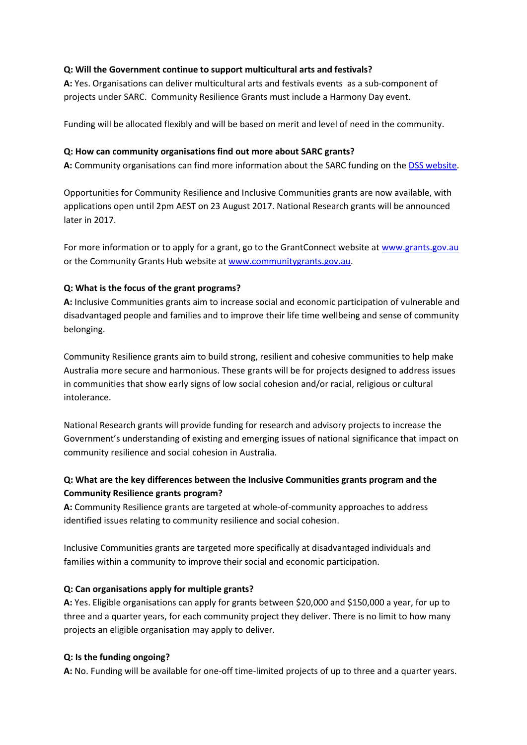### **Q: Will the Government continue to support multicultural arts and festivals?**

**A:** Yes. Organisations can deliver multicultural arts and festivals events as a sub-component of projects under SARC. Community Resilience Grants must include a Harmony Day event.

Funding will be allocated flexibly and will be based on merit and level of need in the community.

#### **Q: How can community organisations find out more about SARC grants?**

**A:** Community organisations can find more information about the SARC funding on th[e DSS website.](http://www.dss.gov.au/communities-and-vulnerable-people/programs-services/strengthening-communities)

Opportunities for Community Resilience and Inclusive Communities grants are now available, with applications open until 2pm AEST on 23 August 2017. National Research grants will be announced later in 2017.

For more information or to apply for a grant, go to the GrantConnect website at [www.grants.gov.au](http://www.grants.gov.au/) or the Community Grants Hub website at [www.communitygrants.gov.au.](http://www.communitygrants.gov.au/)

## **Q: What is the focus of the grant programs?**

**A:** Inclusive Communities grants aim to increase social and economic participation of vulnerable and disadvantaged people and families and to improve their life time wellbeing and sense of community belonging.

Community Resilience grants aim to build strong, resilient and cohesive communities to help make Australia more secure and harmonious. These grants will be for projects designed to address issues in communities that show early signs of low social cohesion and/or racial, religious or cultural intolerance.

National Research grants will provide funding for research and advisory projects to increase the Government's understanding of existing and emerging issues of national significance that impact on community resilience and social cohesion in Australia.

## **Q: What are the key differences between the Inclusive Communities grants program and the Community Resilience grants program?**

**A:** Community Resilience grants are targeted at whole-of-community approaches to address identified issues relating to community resilience and social cohesion.

Inclusive Communities grants are targeted more specifically at disadvantaged individuals and families within a community to improve their social and economic participation.

#### **Q: Can organisations apply for multiple grants?**

**A:** Yes. Eligible organisations can apply for grants between \$20,000 and \$150,000 a year, for up to three and a quarter years, for each community project they deliver. There is no limit to how many projects an eligible organisation may apply to deliver.

#### **Q: Is the funding ongoing?**

**A:** No. Funding will be available for one-off time-limited projects of up to three and a quarter years.